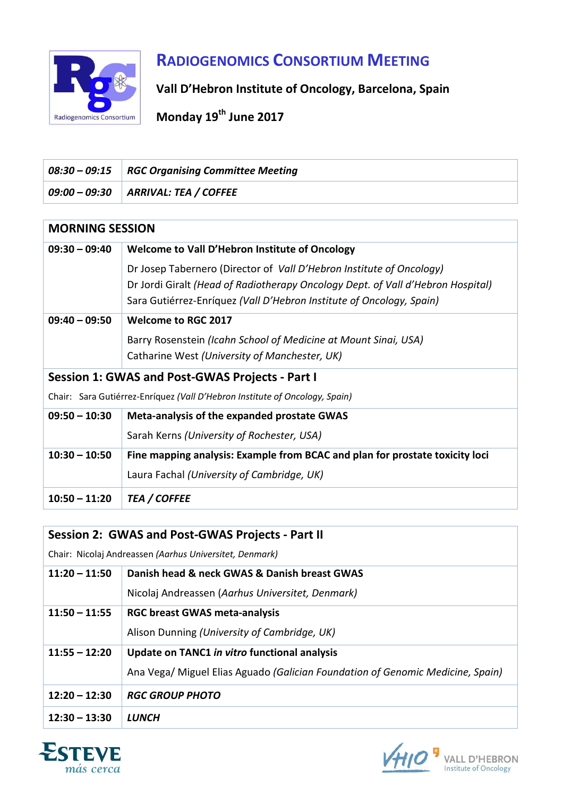

# **RADIOGENOMICS CONSORTIUM MEETING**

**Vall D'Hebron Institute of Oncology, Barcelona, Spain** 

**Monday 19th June 2017**

|                        | $08:30 - 09:15$ RGC Organising Committee Meeting |
|------------------------|--------------------------------------------------|
|                        | $09:00 - 09:30$ ARRIVAL: TEA / COFFEE            |
|                        |                                                  |
| <b>MORNING SESSION</b> |                                                  |

| $09:30 - 09:40$                                                             | Welcome to Vall D'Hebron Institute of Oncology                                                                                                                                                                                  |  |
|-----------------------------------------------------------------------------|---------------------------------------------------------------------------------------------------------------------------------------------------------------------------------------------------------------------------------|--|
|                                                                             | Dr Josep Tabernero (Director of Vall D'Hebron Institute of Oncology)<br>Dr Jordi Giralt (Head of Radiotherapy Oncology Dept. of Vall d'Hebron Hospital)<br>Sara Gutiérrez-Enríquez (Vall D'Hebron Institute of Oncology, Spain) |  |
| $09:40 - 09:50$                                                             | <b>Welcome to RGC 2017</b>                                                                                                                                                                                                      |  |
|                                                                             | Barry Rosenstein (Icahn School of Medicine at Mount Sinai, USA)<br>Catharine West (University of Manchester, UK)                                                                                                                |  |
| <b>Session 1: GWAS and Post-GWAS Projects - Part I</b>                      |                                                                                                                                                                                                                                 |  |
| Chair: Sara Gutiérrez-Enríquez (Vall D'Hebron Institute of Oncology, Spain) |                                                                                                                                                                                                                                 |  |
| $09:50 - 10:30$                                                             | Meta-analysis of the expanded prostate GWAS                                                                                                                                                                                     |  |
|                                                                             | Sarah Kerns (University of Rochester, USA)                                                                                                                                                                                      |  |
| $10:30 - 10:50$                                                             | Fine mapping analysis: Example from BCAC and plan for prostate toxicity loci                                                                                                                                                    |  |
|                                                                             | Laura Fachal (University of Cambridge, UK)                                                                                                                                                                                      |  |
| $10:50 - 11:20$                                                             | <b>TEA / COFFEE</b>                                                                                                                                                                                                             |  |

### **Session 2: GWAS and Post-GWAS Projects - Part II**

Chair: Nicolaj Andreassen *(Aarhus Universitet, Denmark)*

| $11:20 - 11:50$ | Danish head & neck GWAS & Danish breast GWAS<br>Nicolaj Andreassen (Aarhus Universitet, Denmark)                               |
|-----------------|--------------------------------------------------------------------------------------------------------------------------------|
| $11:50 - 11:55$ | <b>RGC breast GWAS meta-analysis</b><br>Alison Dunning (University of Cambridge, UK)                                           |
| $11:55 - 12:20$ | Update on TANC1 in vitro functional analysis<br>Ana Vega/ Miguel Elias Aguado (Galician Foundation of Genomic Medicine, Spain) |
| $12:20 - 12:30$ | <b>RGC GROUP PHOTO</b>                                                                                                         |
| $12:30 - 13:30$ | LUNCH                                                                                                                          |